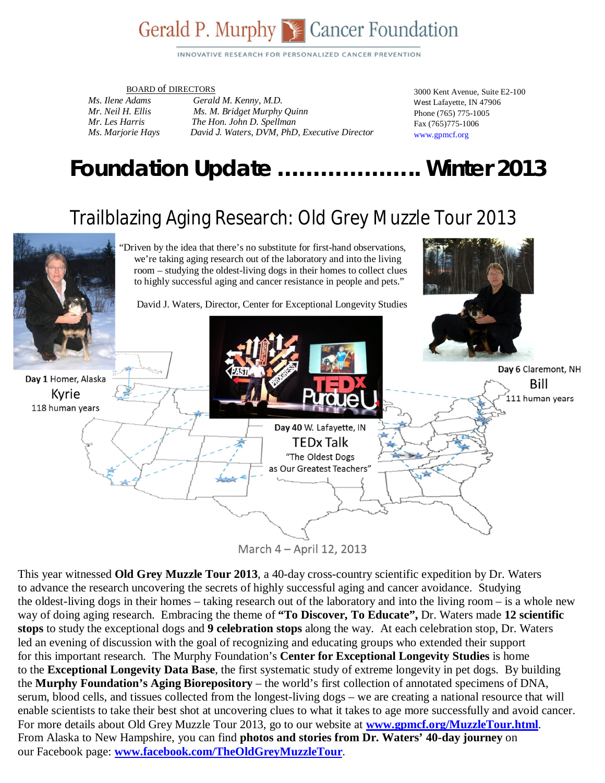## Gerald P. Murphy Se Cancer Foundation

INNOVATIVE RESEARCH FOR PERSONALIZED CANCER PREVENTION

#### BOARD of DIRECTORS

*Ms. Ilene Adams Gerald M. Kenny, M.D. Mr. Neil H. Ellis Ms. M. Bridget Murphy Quinn Mr. Les Harris The Hon. John D. Spellman Ms. Marjorie Hays David J. Waters, DVM, PhD, Executive Director*  3000 Kent Avenue, Suite E2-100 West Lafayette, IN 47906 Phone (765) 775-1005 Fax (765)775-1006 www.gpmcf.org

## *Foundation Update* **………………..** *Winter 2013*

## Trailblazing Aging Research: Old Grey Muzzle Tour 2013



March 4 - April 12, 2013

This year witnessed **Old Grey Muzzle Tour 2013**, a 40-day cross-country scientific expedition by Dr. Waters to advance the research uncovering the secrets of highly successful aging and cancer avoidance. Studying the oldest-living dogs in their homes – taking research out of the laboratory and into the living room – is a whole new way of doing aging research. Embracing the theme of **"To Discover, To Educate",** Dr. Waters made **12 scientific stops** to study the exceptional dogs and **9 celebration stops** along the way. At each celebration stop, Dr. Waters led an evening of discussion with the goal of recognizing and educating groups who extended their support for this important research. The Murphy Foundation's **Center for Exceptional Longevity Studies** is home to the **Exceptional Longevity Data Base**, the first systematic study of extreme longevity in pet dogs. By building the **Murphy Foundation's Aging Biorepository** – the world's first collection of annotated specimens of DNA, serum, blood cells, and tissues collected from the longest-living dogs – we are creating a national resource that will enable scientists to take their best shot at uncovering clues to what it takes to age more successfully and avoid cancer. For more details about Old Grey Muzzle Tour 2013, go to our website at **www.gpmcf.org/MuzzleTour.html**. From Alaska to New Hampshire, you can find **photos and stories from Dr. Waters' 40-day journey** on our Facebook page: **www.facebook.com/TheOldGreyMuzzleTour**.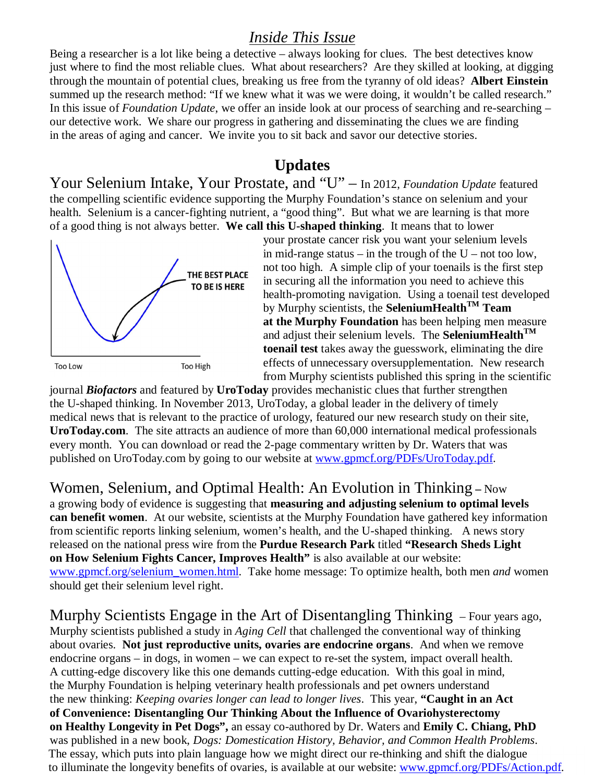#### *Inside This Issue*

Being a researcher is a lot like being a detective – always looking for clues. The best detectives know just where to find the most reliable clues. What about researchers? Are they skilled at looking, at digging through the mountain of potential clues, breaking us free from the tyranny of old ideas? **Albert Einstein**  summed up the research method: "If we knew what it was we were doing, it wouldn't be called research." In this issue of *Foundation Update*, we offer an inside look at our process of searching and re-searching – our detective work. We share our progress in gathering and disseminating the clues we are finding in the areas of aging and cancer. We invite you to sit back and savor our detective stories.

#### **Updates**

Your Selenium Intake, Your Prostate, and "U" – In 2012, *Foundation Update* featured the compelling scientific evidence supporting the Murphy Foundation's stance on selenium and your health. Selenium is a cancer-fighting nutrient, a "good thing". But what we are learning is that more of a good thing is not always better. **We call this U-shaped thinking**. It means that to lower



your prostate cancer risk you want your selenium levels in mid-range status – in the trough of the  $U$  – not too low, not too high. A simple clip of your toenails is the first step in securing all the information you need to achieve this health-promoting navigation. Using a toenail test developed by Murphy scientists, the **SeleniumHealthTM Team at the Murphy Foundation** has been helping men measure and adjust their selenium levels. The **SeleniumHealthTM toenail test** takes away the guesswork, eliminating the dire effects of unnecessary oversupplementation. New research from Murphy scientists published this spring in the scientific

journal *Biofactors* and featured by **UroToday** provides mechanistic clues that further strengthen the U-shaped thinking. In November 2013, UroToday, a global leader in the delivery of timely medical news that is relevant to the practice of urology, featured our new research study on their site, **UroToday.com**. The site attracts an audience of more than 60,000 international medical professionals every month. You can download or read the 2-page commentary written by Dr. Waters that was published on UroToday.com by going to our website at www.gpmcf.org/PDFs/UroToday.pdf.

Women, Selenium, and Optimal Health: An Evolution in Thinking **–** Now a growing body of evidence is suggesting that **measuring and adjusting selenium to optimal levels**

**can benefit women**. At our website, scientists at the Murphy Foundation have gathered key information from scientific reports linking selenium, women's health, and the U-shaped thinking. A news story released on the national press wire from the **Purdue Research Park** titled **"Research Sheds Light on How Selenium Fights Cancer, Improves Health"** is also available at our website: www.gpmcf.org/selenium\_women.html. Take home message: To optimize health, both men *and* women should get their selenium level right.

Murphy Scientists Engage in the Art of Disentangling Thinking – Four years ago, Murphy scientists published a study in *Aging Cell* that challenged the conventional way of thinking about ovaries. **Not just reproductive units, ovaries are endocrine organs**. And when we remove endocrine organs – in dogs, in women – we can expect to re-set the system, impact overall health. A cutting-edge discovery like this one demands cutting-edge education. With this goal in mind, the Murphy Foundation is helping veterinary health professionals and pet owners understand the new thinking: *Keeping ovaries longer can lead to longer lives*. This year, **"Caught in an Act of Convenience: Disentangling Our Thinking About the Influence of Ovariohysterectomy on Healthy Longevity in Pet Dogs",** an essay co-authored by Dr. Waters and **Emily C. Chiang, PhD** was published in a new book, *Dogs: Domestication History, Behavior, and Common Health Problems*. The essay, which puts into plain language how we might direct our re-thinking and shift the dialogue to illuminate the longevity benefits of ovaries, is available at our website: www.gpmcf.org/PDFs/Action.pdf.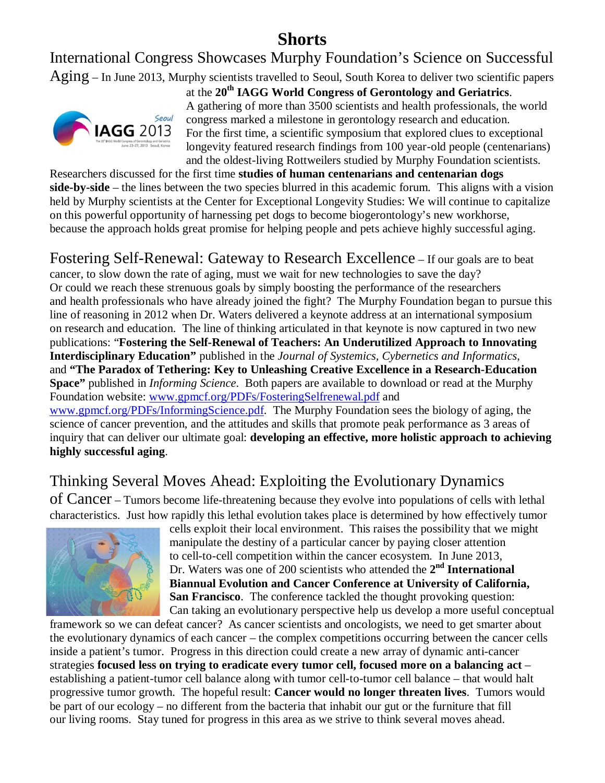## **Shorts**

International Congress Showcases Murphy Foundation's Science on Successful

Aging – In June 2013, Murphy scientists travelled to Seoul, South Korea to deliver two scientific papers



at the **20th IAGG World Congress of Gerontology and Geriatrics**. A gathering of more than 3500 scientists and health professionals, the world congress marked a milestone in gerontology research and education. For the first time, a scientific symposium that explored clues to exceptional longevity featured research findings from 100 year-old people (centenarians) and the oldest-living Rottweilers studied by Murphy Foundation scientists.

Researchers discussed for the first time **studies of human centenarians and centenarian dogs side-by-side** – the lines between the two species blurred in this academic forum. This aligns with a vision held by Murphy scientists at the Center for Exceptional Longevity Studies: We will continue to capitalize on this powerful opportunity of harnessing pet dogs to become biogerontology's new workhorse, because the approach holds great promise for helping people and pets achieve highly successful aging.

Fostering Self-Renewal: Gateway to Research Excellence – If our goals are to beat

cancer, to slow down the rate of aging, must we wait for new technologies to save the day? Or could we reach these strenuous goals by simply boosting the performance of the researchers and health professionals who have already joined the fight? The Murphy Foundation began to pursue this line of reasoning in 2012 when Dr. Waters delivered a keynote address at an international symposium on research and education. The line of thinking articulated in that keynote is now captured in two new publications: "**Fostering the Self-Renewal of Teachers: An Underutilized Approach to Innovating Interdisciplinary Education"** published in the *Journal of Systemics, Cybernetics and Informatics*, and **"The Paradox of Tethering: Key to Unleashing Creative Excellence in a Research-Education Space"** published in *Informing Science*. Both papers are available to download or read at the Murphy Foundation website: www.gpmcf.org/PDFs/FosteringSelfrenewal.pdf and www.gpmcf.org/PDFs/InformingScience.pdf. The Murphy Foundation sees the biology of aging, the science of cancer prevention, and the attitudes and skills that promote peak performance as 3 areas of inquiry that can deliver our ultimate goal: **developing an effective, more holistic approach to achieving highly successful aging**.

### Thinking Several Moves Ahead: Exploiting the Evolutionary Dynamics

of Cancer – Tumors become life-threatening because they evolve into populations of cells with lethal characteristics. Just how rapidly this lethal evolution takes place is determined by how effectively tumor



cells exploit their local environment. This raises the possibility that we might manipulate the destiny of a particular cancer by paying closer attention to cell-to-cell competition within the cancer ecosystem. In June 2013, Dr. Waters was one of 200 scientists who attended the 2<sup>nd</sup> International **Biannual Evolution and Cancer Conference at University of California, San Francisco**. The conference tackled the thought provoking question: Can taking an evolutionary perspective help us develop a more useful conceptual

framework so we can defeat cancer? As cancer scientists and oncologists, we need to get smarter about the evolutionary dynamics of each cancer – the complex competitions occurring between the cancer cells inside a patient's tumor. Progress in this direction could create a new array of dynamic anti-cancer strategies **focused less on trying to eradicate every tumor cell, focused more on a balancing act** – establishing a patient-tumor cell balance along with tumor cell-to-tumor cell balance – that would halt progressive tumor growth. The hopeful result: **Cancer would no longer threaten lives**. Tumors would be part of our ecology – no different from the bacteria that inhabit our gut or the furniture that fill our living rooms. Stay tuned for progress in this area as we strive to think several moves ahead.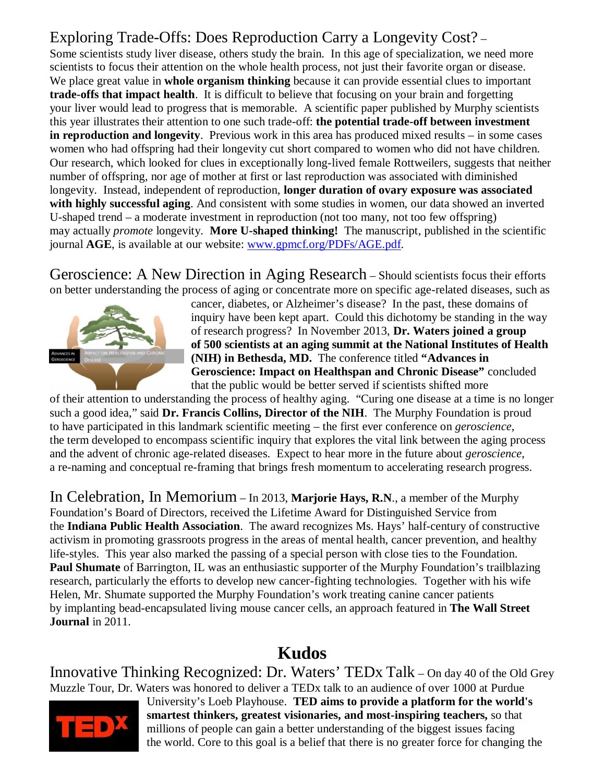### Exploring Trade-Offs: Does Reproduction Carry a Longevity Cost? –

Some scientists study liver disease, others study the brain. In this age of specialization, we need more scientists to focus their attention on the whole health process, not just their favorite organ or disease. We place great value in **whole organism thinking** because it can provide essential clues to important **trade-offs that impact health**. It is difficult to believe that focusing on your brain and forgetting your liver would lead to progress that is memorable. A scientific paper published by Murphy scientists this year illustrates their attention to one such trade-off: **the potential trade-off between investment in reproduction and longevity**. Previous work in this area has produced mixed results – in some cases women who had offspring had their longevity cut short compared to women who did not have children. Our research, which looked for clues in exceptionally long-lived female Rottweilers, suggests that neither number of offspring, nor age of mother at first or last reproduction was associated with diminished longevity. Instead, independent of reproduction, **longer duration of ovary exposure was associated with highly successful aging**. And consistent with some studies in women, our data showed an inverted U-shaped trend – a moderate investment in reproduction (not too many, not too few offspring) may actually *promote* longevity. **More U-shaped thinking!** The manuscript, published in the scientific journal **AGE**, is available at our website: www.gpmcf.org/PDFs/AGE.pdf.

Geroscience: A New Direction in Aging Research – Should scientists focus their efforts on better understanding the process of aging or concentrate more on specific age-related diseases, such as



cancer, diabetes, or Alzheimer's disease? In the past, these domains of inquiry have been kept apart. Could this dichotomy be standing in the way of research progress? In November 2013, **Dr. Waters joined a group of 500 scientists at an aging summit at the National Institutes of Health (NIH) in Bethesda, MD.** The conference titled **"Advances in Geroscience: Impact on Healthspan and Chronic Disease"** concluded that the public would be better served if scientists shifted more

of their attention to understanding the process of healthy aging. "Curing one disease at a time is no longer such a good idea," said **Dr. Francis Collins, Director of the NIH**. The Murphy Foundation is proud to have participated in this landmark scientific meeting – the first ever conference on *geroscience*, the term developed to encompass scientific inquiry that explores the vital link between the aging process and the advent of chronic age-related diseases. Expect to hear more in the future about *geroscience*, a re-naming and conceptual re-framing that brings fresh momentum to accelerating research progress.

In Celebration, In Memorium – In 2013, **Marjorie Hays, R.N**., a member of the Murphy Foundation's Board of Directors, received the Lifetime Award for Distinguished Service from the **Indiana Public Health Association**. The award recognizes Ms. Hays' half-century of constructive activism in promoting grassroots progress in the areas of mental health, cancer prevention, and healthy life-styles. This year also marked the passing of a special person with close ties to the Foundation. **Paul Shumate** of Barrington, IL was an enthusiastic supporter of the Murphy Foundation's trailblazing research, particularly the efforts to develop new cancer-fighting technologies. Together with his wife Helen, Mr. Shumate supported the Murphy Foundation's work treating canine cancer patients by implanting bead-encapsulated living mouse cancer cells, an approach featured in **The Wall Street Journal** in 2011.

### **Kudos**

Innovative Thinking Recognized: Dr. Waters' TEDx Talk – On day 40 of the Old Grey Muzzle Tour, Dr. Waters was honored to deliver a TEDx talk to an audience of over 1000 at Purdue



University's Loeb Playhouse. **TED aims to provide a platform for the world's smartest thinkers, greatest visionaries, and most-inspiring teachers,** so that millions of people can gain a better understanding of the biggest issues facing the world. Core to this goal is a belief that there is no greater force for changing the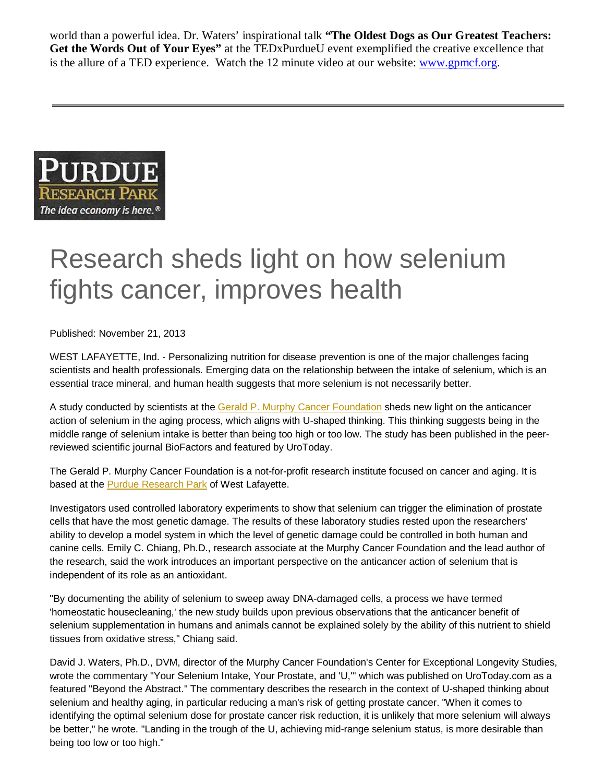world than a powerful idea. Dr. Waters' inspirational talk **"The Oldest Dogs as Our Greatest Teachers: Get the Words Out of Your Eyes"** at the TEDxPurdueU event exemplified the creative excellence that is the allure of a TED experience. Watch the 12 minute video at our website: www.gpmcf.org.



# Research sheds light on how selenium fights cancer, improves health

Published: November 21, 2013

WEST LAFAYETTE, Ind. - Personalizing nutrition for disease prevention is one of the major challenges facing scientists and health professionals. Emerging data on the relationship between the intake of selenium, which is an essential trace mineral, and human health suggests that more selenium is not necessarily better.

A study conducted by scientists at the Gerald P. Murphy Cancer Foundation sheds new light on the anticancer action of selenium in the aging process, which aligns with U-shaped thinking. This thinking suggests being in the middle range of selenium intake is better than being too high or too low. The study has been published in the peerreviewed scientific journal BioFactors and featured by UroToday.

The Gerald P. Murphy Cancer Foundation is a not-for-profit research institute focused on cancer and aging. It is based at the **Purdue Research Park** of West Lafayette.

Investigators used controlled laboratory experiments to show that selenium can trigger the elimination of prostate cells that have the most genetic damage. The results of these laboratory studies rested upon the researchers' ability to develop a model system in which the level of genetic damage could be controlled in both human and canine cells. Emily C. Chiang, Ph.D., research associate at the Murphy Cancer Foundation and the lead author of the research, said the work introduces an important perspective on the anticancer action of selenium that is independent of its role as an antioxidant.

"By documenting the ability of selenium to sweep away DNA-damaged cells, a process we have termed 'homeostatic housecleaning,' the new study builds upon previous observations that the anticancer benefit of selenium supplementation in humans and animals cannot be explained solely by the ability of this nutrient to shield tissues from oxidative stress," Chiang said.

David J. Waters, Ph.D., DVM, director of the Murphy Cancer Foundation's Center for Exceptional Longevity Studies, wrote the commentary "Your Selenium Intake, Your Prostate, and 'U,'" which was published on UroToday.com as a featured "Beyond the Abstract." The commentary describes the research in the context of U-shaped thinking about selenium and healthy aging, in particular reducing a man's risk of getting prostate cancer. "When it comes to identifying the optimal selenium dose for prostate cancer risk reduction, it is unlikely that more selenium will always be better," he wrote. "Landing in the trough of the U, achieving mid-range selenium status, is more desirable than being too low or too high."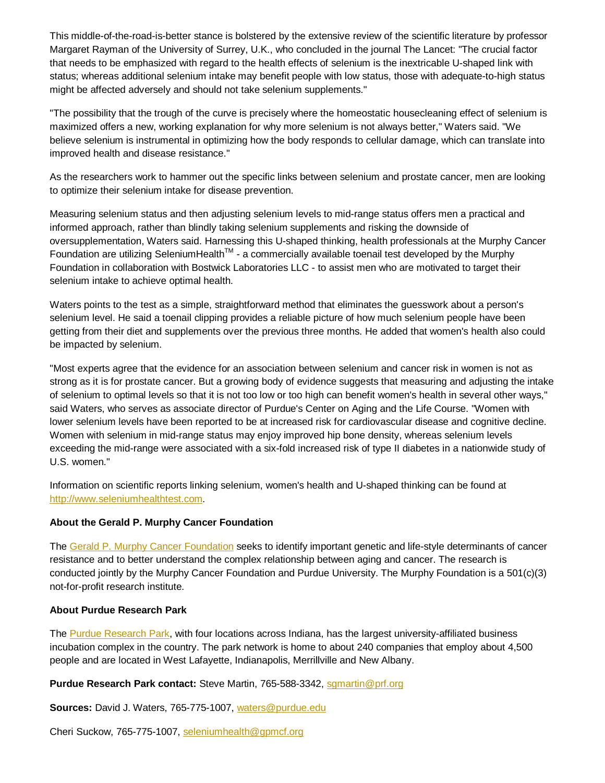This middle-of-the-road-is-better stance is bolstered by the extensive review of the scientific literature by professor Margaret Rayman of the University of Surrey, U.K., who concluded in the journal The Lancet: "The crucial factor that needs to be emphasized with regard to the health effects of selenium is the inextricable U-shaped link with status; whereas additional selenium intake may benefit people with low status, those with adequate-to-high status might be affected adversely and should not take selenium supplements."

"The possibility that the trough of the curve is precisely where the homeostatic housecleaning effect of selenium is maximized offers a new, working explanation for why more selenium is not always better," Waters said. "We believe selenium is instrumental in optimizing how the body responds to cellular damage, which can translate into improved health and disease resistance."

As the researchers work to hammer out the specific links between selenium and prostate cancer, men are looking to optimize their selenium intake for disease prevention.

Measuring selenium status and then adjusting selenium levels to mid-range status offers men a practical and informed approach, rather than blindly taking selenium supplements and risking the downside of oversupplementation, Waters said. Harnessing this U-shaped thinking, health professionals at the Murphy Cancer Foundation are utilizing SeleniumHealth™ - a commercially available toenail test developed by the Murphy Foundation in collaboration with Bostwick Laboratories LLC - to assist men who are motivated to target their selenium intake to achieve optimal health.

Waters points to the test as a simple, straightforward method that eliminates the guesswork about a person's selenium level. He said a toenail clipping provides a reliable picture of how much selenium people have been getting from their diet and supplements over the previous three months. He added that women's health also could be impacted by selenium.

"Most experts agree that the evidence for an association between selenium and cancer risk in women is not as strong as it is for prostate cancer. But a growing body of evidence suggests that measuring and adjusting the intake of selenium to optimal levels so that it is not too low or too high can benefit women's health in several other ways," said Waters, who serves as associate director of Purdue's Center on Aging and the Life Course. "Women with lower selenium levels have been reported to be at increased risk for cardiovascular disease and cognitive decline. Women with selenium in mid-range status may enjoy improved hip bone density, whereas selenium levels exceeding the mid-range were associated with a six-fold increased risk of type II diabetes in a nationwide study of U.S. women."

Information on scientific reports linking selenium, women's health and U-shaped thinking can be found at http://www.seleniumhealthtest.com.

#### **About the Gerald P. Murphy Cancer Foundation**

The Gerald P. Murphy Cancer Foundation seeks to identify important genetic and life-style determinants of cancer resistance and to better understand the complex relationship between aging and cancer. The research is conducted jointly by the Murphy Cancer Foundation and Purdue University. The Murphy Foundation is a 501(c)(3) not-for-profit research institute.

#### **About Purdue Research Park**

The Purdue Research Park, with four locations across Indiana, has the largest university-affiliated business incubation complex in the country. The park network is home to about 240 companies that employ about 4,500 people and are located in West Lafayette, Indianapolis, Merrillville and New Albany.

#### Purdue Research Park contact: Steve Martin, 765-588-3342, sgmartin@prf.org

**Sources:** David J. Waters, 765-775-1007, waters@purdue.edu

Cheri Suckow, 765-775-1007, seleniumhealth@gpmcf.org